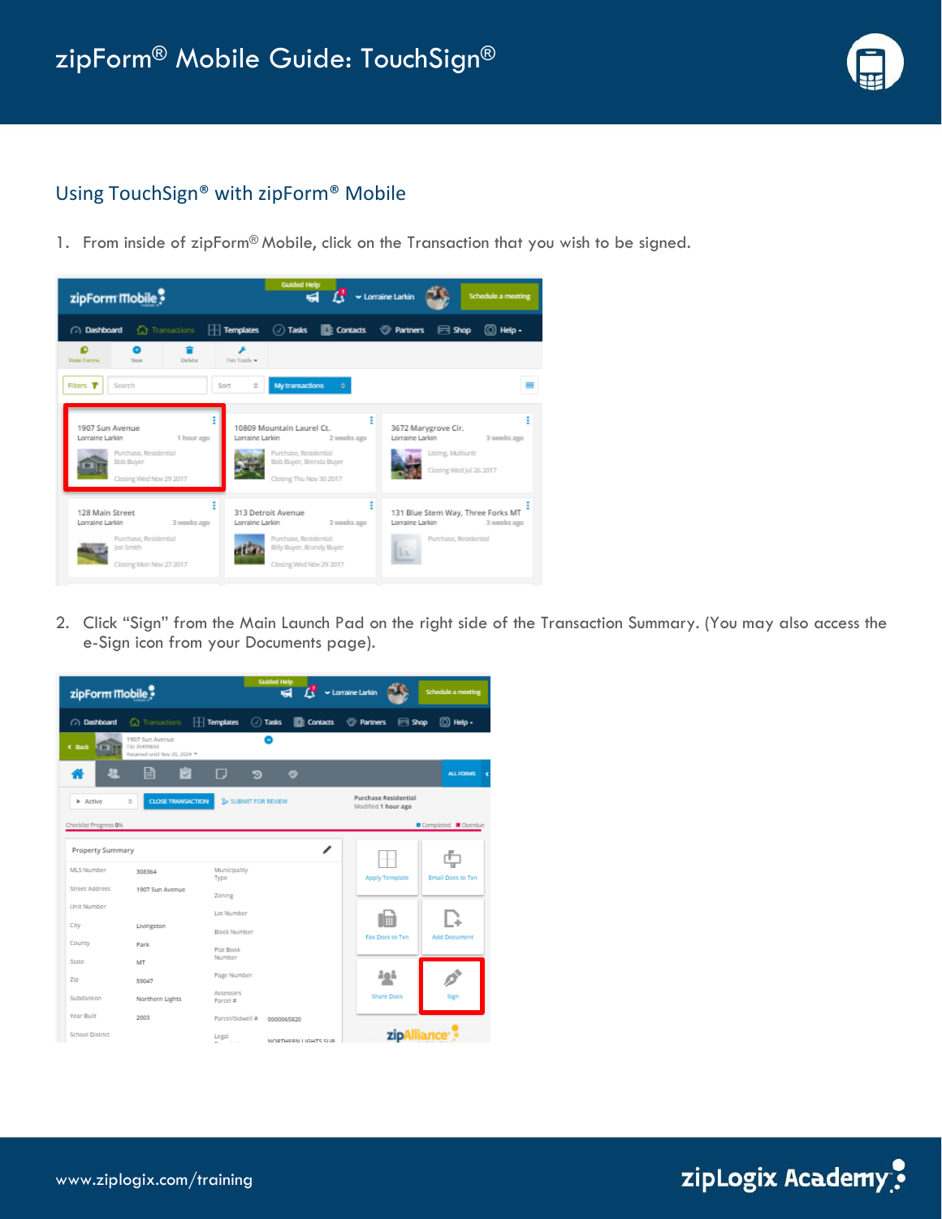

## Using TouchSign® with zipForm® Mobile

1. From inside of zipForm® Mobile, click on the Transaction that you wish to be signed.



2. Click "Sign" from the Main Launch Pad on the right side of the Transaction Summary. (You may also access the e-Sign icon from your Documents page).

| zipForm Mobile        |                                                                  |                       | <b>Guided Help</b>            | $\overrightarrow{K}$ v Lorraine Larkin |                                             |                   | <b>Schedule a meeting</b>   |
|-----------------------|------------------------------------------------------------------|-----------------------|-------------------------------|----------------------------------------|---------------------------------------------|-------------------|-----------------------------|
| (2) Dashboard         | <b>Transactions</b>                                              | $\Box$ Templates      | $\left(\sqrt{2}\right)$ Tasks | <b>E</b> : Contacts                    | <b><sup>2</sup></b> Partners                | <b>E</b> Shop     | (①) Help -                  |
| € Back                | 1907 Sun Avenue<br>TID 35499650<br>Retained until Nov 20, 2024 ¥ |                       | Θ                             |                                        |                                             |                   |                             |
|                       | e<br>Û                                                           | п                     | פ                             | ⇔                                      |                                             |                   | <b>ALL FORMS</b>            |
| Active                | $\div$<br><b>CLOSE TRANSACTION</b>                               | SUBMIT FOR REVIEW     |                               |                                        | Purchase Residential<br>Modified 1 hour ago |                   |                             |
| Checklist Progress 0% |                                                                  |                       |                               |                                        |                                             |                   | Completed <b>Conduction</b> |
| Property Summary      |                                                                  |                       |                               | ∕                                      |                                             |                   |                             |
| MLS Number            | 308354                                                           | Municipality<br>Type  |                               |                                        | <b>Apply Template</b>                       |                   | Email Docs to Txn           |
| Street Address        | 1907 Sun Avenue                                                  | Zoning                |                               |                                        |                                             |                   |                             |
| Unit Number           |                                                                  | Lot Number            |                               |                                        |                                             |                   |                             |
| City                  | Livingston                                                       | Block Number          |                               |                                        |                                             | Fax Docs to Txn   | <b>Add Document</b>         |
| County                | Park                                                             | Plat Book             |                               |                                        |                                             |                   |                             |
| State                 | MT                                                               | Number                |                               |                                        |                                             |                   |                             |
| Zip                   | 59047                                                            | Page Number           |                               |                                        |                                             | ðað               |                             |
| Subdivision           | Northern Lights                                                  | Assessors<br>Parcel # |                               |                                        |                                             | <b>Share Docs</b> | Sign                        |
| Year Built            | 2003                                                             | Parcel/Sidwell #      | 0000065820                    |                                        |                                             |                   |                             |
| School District       |                                                                  | Legal                 |                               | NORTHERN LIGHTS SUR                    |                                             |                   | zipAlliance <sup>®</sup>    |

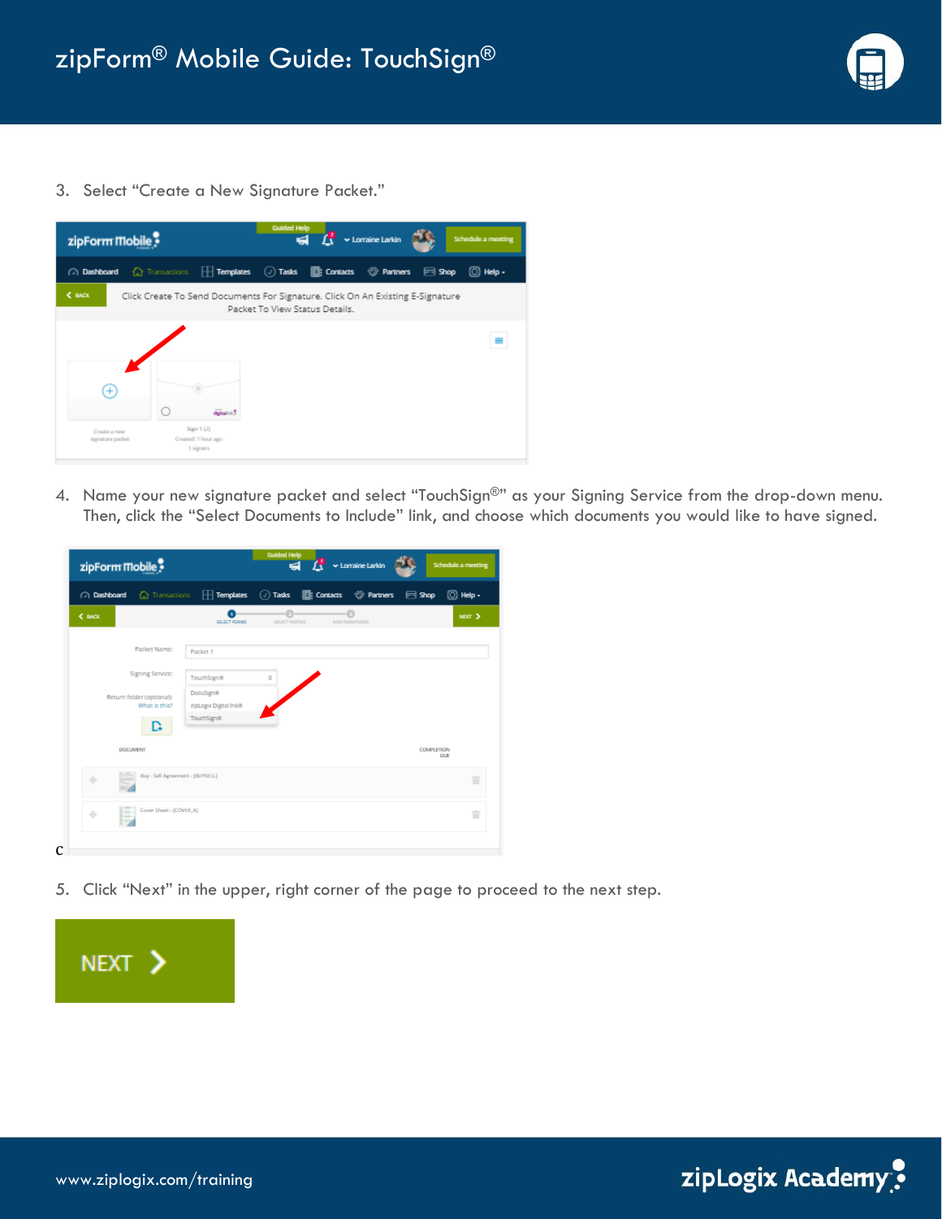

3. Select "Create a New Signature Packet."



4. Name your new signature packet and select "TouchSign®" as your Signing Service from the drop-down menu. Then, click the "Select Documents to Include" link, and choose which documents you would like to have signed.

| $\sqrt{a}$ Dashboard $\sqrt{a}$ Transactions $\boxed{1}$ Templates $\boxed{a}$ Tasks $\boxed{2}$ Contacts $\boxed{a}$ Partners |                                    |                     |                      | $\Box$ Shop              | (⊙) Help - |
|--------------------------------------------------------------------------------------------------------------------------------|------------------------------------|---------------------|----------------------|--------------------------|------------|
| $\xi$ BACK                                                                                                                     | SELECT FORMS                       | Ð<br>SELECT PARTIES | -0<br>ADD SIGNATURES |                          | NEXT >     |
| Packet Name:                                                                                                                   | Packet 1                           |                     |                      |                          |            |
| Signing Service:                                                                                                               | TouchSign®                         | ÷                   |                      |                          |            |
| Return folder (optional):<br>What is this?                                                                                     | DocuSign®<br>zipLogix Digital Ink® |                     |                      |                          |            |
| L÷                                                                                                                             | TouchSign®                         |                     |                      |                          |            |
| DOCUMENT                                                                                                                       |                                    |                     |                      | <b>COMPLETION</b><br>DUE |            |
| Buy - Sell Agreement - [BUYSELL]<br>÷                                                                                          |                                    |                     |                      |                          | ÷          |
| Cover Sheet - (COVER A)<br><br>÷                                                                                               |                                    |                     |                      |                          | ÷          |

5. Click "Next" in the upper, right corner of the page to proceed to the next step.



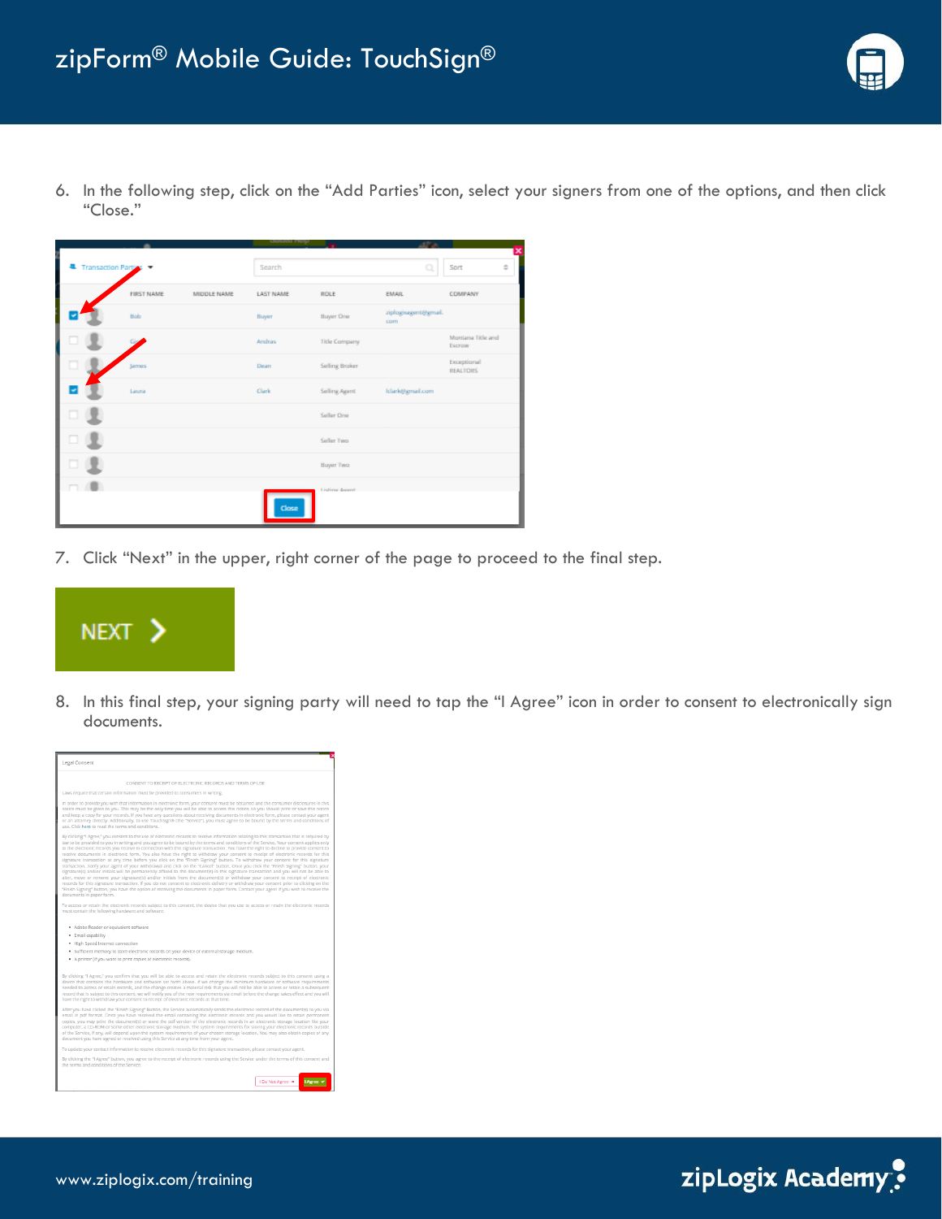

6. In the following step, click on the "Add Parties" icon, select your signers from one of the options, and then click "Close."

|               |                       |             | ramona uniti     |                |                             |                                |
|---------------|-----------------------|-------------|------------------|----------------|-----------------------------|--------------------------------|
| Ĩ             | Transaction Parties - |             | Search           |                |                             | ×<br>Sort<br>$\stackrel{a}{=}$ |
| $\frac{1}{2}$ | <b>FIRST NAME</b>     | MIDDLE NAME | <b>LAST NAME</b> | ROLE           | EMAIL                       | COMPANY                        |
|               | Bob                   |             | Buyer            | Buyer One      | ziplogisagent@gmail.<br>com |                                |
|               |                       |             | Andras           | Title Company  |                             | Montana Title and<br>Escrow    |
|               | James                 |             | Dean             | Selling Broker |                             | Exceptional<br>REALTORS        |
|               | Laura                 |             | Clark            | Selling Agent  | Iclark@gmail.com            |                                |
| о             |                       |             |                  | Seller One     |                             |                                |
| o             |                       |             |                  | Seller Two     |                             |                                |
| c             |                       |             |                  | Buyer Two      |                             |                                |
|               |                       |             |                  | Listing Agent  |                             |                                |
|               |                       |             | Close            |                |                             |                                |

7. Click "Next" in the upper, right corner of the page to proceed to the final step.



8. In this final step, your signing party will need to tap the "I Agree" icon in order to consent to electronically sign documents.



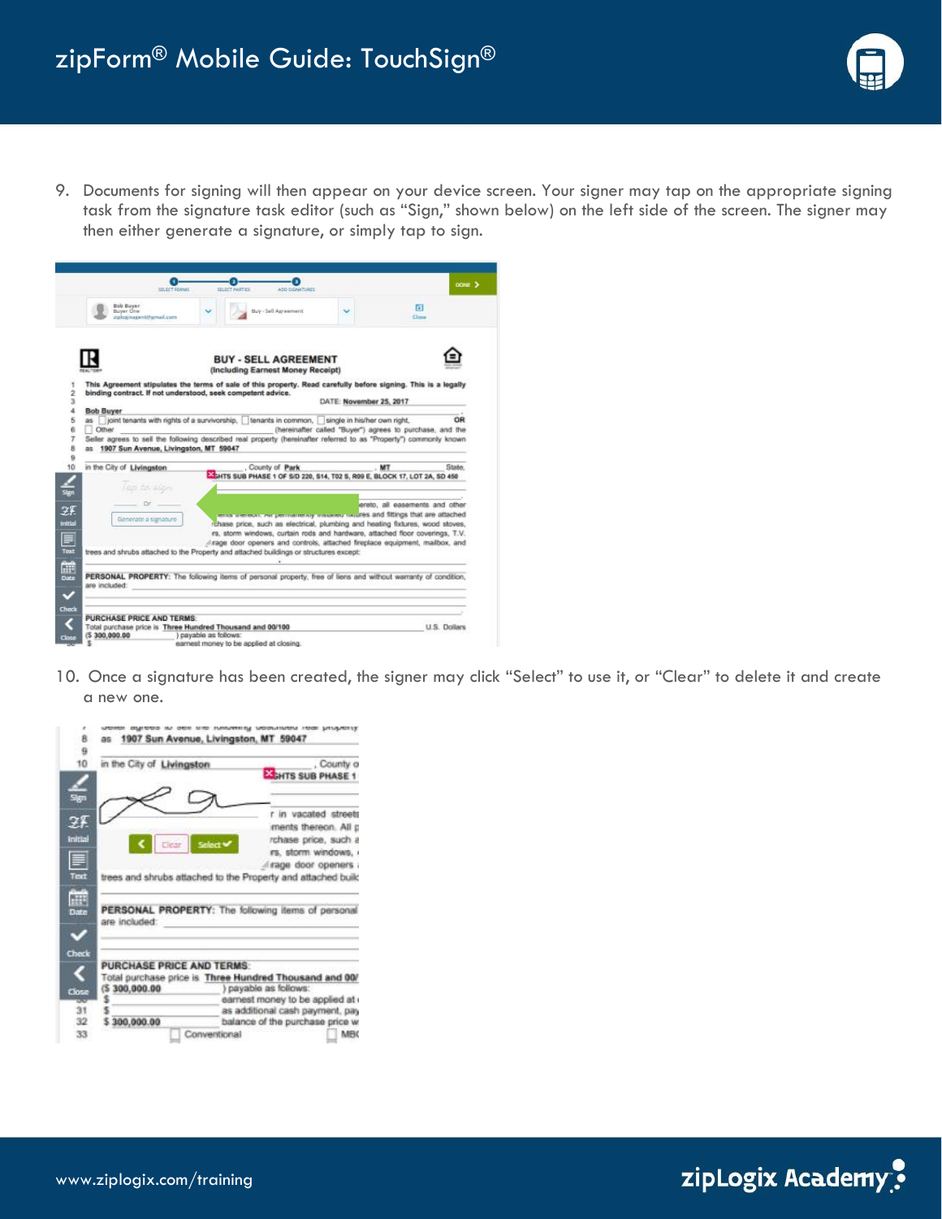

9. Documents for signing will then appear on your device screen. Your signer may tap on the appropriate signing task from the signature task editor (such as "Sign," shown below) on the left side of the screen. The signer may then either generate a signature, or simply tap to sign.



10. Once a signature has been created, the signer may click "Select" to use it, or "Clear" to delete it and create a new one.